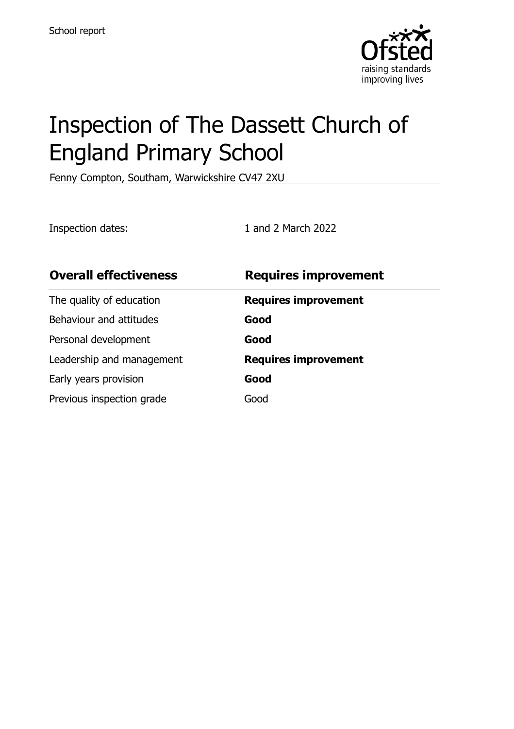

# Inspection of The Dassett Church of England Primary School

Fenny Compton, Southam, Warwickshire CV47 2XU

Inspection dates: 1 and 2 March 2022

| <b>Requires improvement</b> |
|-----------------------------|
| <b>Requires improvement</b> |
| Good                        |
| Good                        |
| <b>Requires improvement</b> |
| Good                        |
| Good                        |
|                             |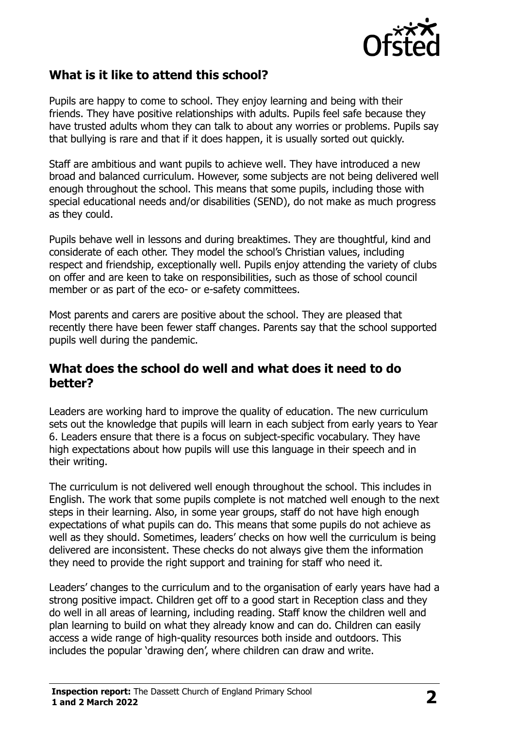

#### **What is it like to attend this school?**

Pupils are happy to come to school. They enjoy learning and being with their friends. They have positive relationships with adults. Pupils feel safe because they have trusted adults whom they can talk to about any worries or problems. Pupils say that bullying is rare and that if it does happen, it is usually sorted out quickly.

Staff are ambitious and want pupils to achieve well. They have introduced a new broad and balanced curriculum. However, some subjects are not being delivered well enough throughout the school. This means that some pupils, including those with special educational needs and/or disabilities (SEND), do not make as much progress as they could.

Pupils behave well in lessons and during breaktimes. They are thoughtful, kind and considerate of each other. They model the school's Christian values, including respect and friendship, exceptionally well. Pupils enjoy attending the variety of clubs on offer and are keen to take on responsibilities, such as those of school council member or as part of the eco- or e-safety committees.

Most parents and carers are positive about the school. They are pleased that recently there have been fewer staff changes. Parents say that the school supported pupils well during the pandemic.

#### **What does the school do well and what does it need to do better?**

Leaders are working hard to improve the quality of education. The new curriculum sets out the knowledge that pupils will learn in each subject from early years to Year 6. Leaders ensure that there is a focus on subject-specific vocabulary. They have high expectations about how pupils will use this language in their speech and in their writing.

The curriculum is not delivered well enough throughout the school. This includes in English. The work that some pupils complete is not matched well enough to the next steps in their learning. Also, in some year groups, staff do not have high enough expectations of what pupils can do. This means that some pupils do not achieve as well as they should. Sometimes, leaders' checks on how well the curriculum is being delivered are inconsistent. These checks do not always give them the information they need to provide the right support and training for staff who need it.

Leaders' changes to the curriculum and to the organisation of early years have had a strong positive impact. Children get off to a good start in Reception class and they do well in all areas of learning, including reading. Staff know the children well and plan learning to build on what they already know and can do. Children can easily access a wide range of high-quality resources both inside and outdoors. This includes the popular 'drawing den', where children can draw and write.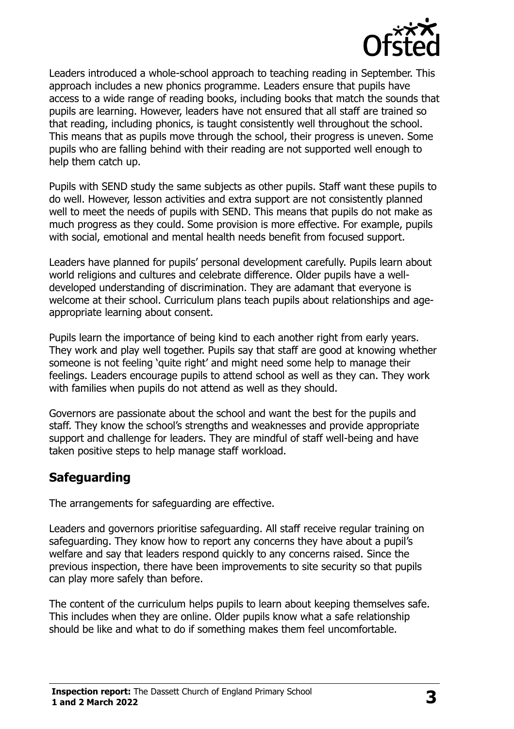

Leaders introduced a whole-school approach to teaching reading in September. This approach includes a new phonics programme. Leaders ensure that pupils have access to a wide range of reading books, including books that match the sounds that pupils are learning. However, leaders have not ensured that all staff are trained so that reading, including phonics, is taught consistently well throughout the school. This means that as pupils move through the school, their progress is uneven. Some pupils who are falling behind with their reading are not supported well enough to help them catch up.

Pupils with SEND study the same subjects as other pupils. Staff want these pupils to do well. However, lesson activities and extra support are not consistently planned well to meet the needs of pupils with SEND. This means that pupils do not make as much progress as they could. Some provision is more effective. For example, pupils with social, emotional and mental health needs benefit from focused support.

Leaders have planned for pupils' personal development carefully. Pupils learn about world religions and cultures and celebrate difference. Older pupils have a welldeveloped understanding of discrimination. They are adamant that everyone is welcome at their school. Curriculum plans teach pupils about relationships and ageappropriate learning about consent.

Pupils learn the importance of being kind to each another right from early years. They work and play well together. Pupils say that staff are good at knowing whether someone is not feeling 'quite right' and might need some help to manage their feelings. Leaders encourage pupils to attend school as well as they can. They work with families when pupils do not attend as well as they should.

Governors are passionate about the school and want the best for the pupils and staff. They know the school's strengths and weaknesses and provide appropriate support and challenge for leaders. They are mindful of staff well-being and have taken positive steps to help manage staff workload.

#### **Safeguarding**

The arrangements for safeguarding are effective.

Leaders and governors prioritise safeguarding. All staff receive regular training on safeguarding. They know how to report any concerns they have about a pupil's welfare and say that leaders respond quickly to any concerns raised. Since the previous inspection, there have been improvements to site security so that pupils can play more safely than before.

The content of the curriculum helps pupils to learn about keeping themselves safe. This includes when they are online. Older pupils know what a safe relationship should be like and what to do if something makes them feel uncomfortable.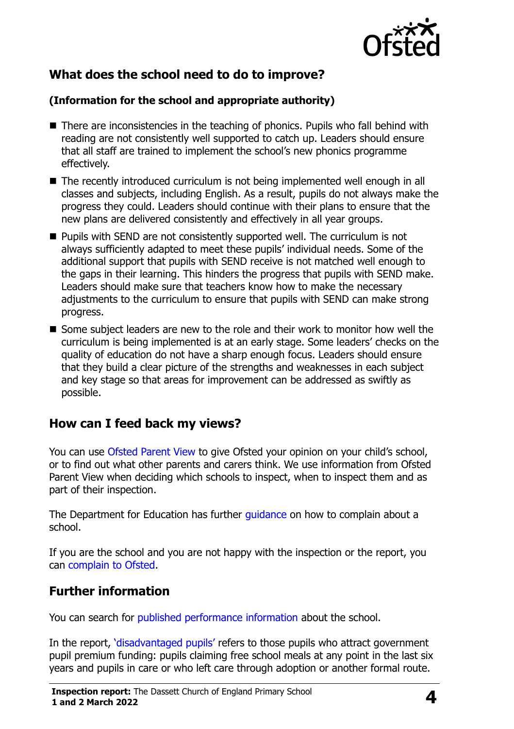

# **What does the school need to do to improve?**

#### **(Information for the school and appropriate authority)**

- There are inconsistencies in the teaching of phonics. Pupils who fall behind with reading are not consistently well supported to catch up. Leaders should ensure that all staff are trained to implement the school's new phonics programme effectively.
- The recently introduced curriculum is not being implemented well enough in all classes and subjects, including English. As a result, pupils do not always make the progress they could. Leaders should continue with their plans to ensure that the new plans are delivered consistently and effectively in all year groups.
- **Pupils with SEND are not consistently supported well. The curriculum is not** always sufficiently adapted to meet these pupils' individual needs. Some of the additional support that pupils with SEND receive is not matched well enough to the gaps in their learning. This hinders the progress that pupils with SEND make. Leaders should make sure that teachers know how to make the necessary adjustments to the curriculum to ensure that pupils with SEND can make strong progress.
- Some subject leaders are new to the role and their work to monitor how well the curriculum is being implemented is at an early stage. Some leaders' checks on the quality of education do not have a sharp enough focus. Leaders should ensure that they build a clear picture of the strengths and weaknesses in each subject and key stage so that areas for improvement can be addressed as swiftly as possible.

# **How can I feed back my views?**

You can use [Ofsted Parent View](http://parentview.ofsted.gov.uk/) to give Ofsted your opinion on your child's school, or to find out what other parents and carers think. We use information from Ofsted Parent View when deciding which schools to inspect, when to inspect them and as part of their inspection.

The Department for Education has further [guidance](http://www.gov.uk/complain-about-school) on how to complain about a school.

If you are the school and you are not happy with the inspection or the report, you can [complain to Ofsted.](http://www.gov.uk/complain-ofsted-report)

# **Further information**

You can search for [published performance information](http://www.compare-school-performance.service.gov.uk/) about the school.

In the report, '[disadvantaged pupils](http://www.gov.uk/guidance/pupil-premium-information-for-schools-and-alternative-provision-settings)' refers to those pupils who attract government pupil premium funding: pupils claiming free school meals at any point in the last six years and pupils in care or who left care through adoption or another formal route.

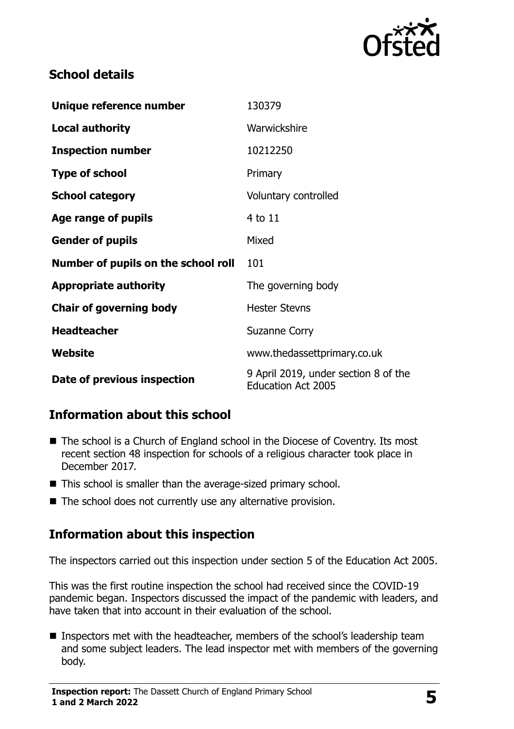

#### **School details**

| Unique reference number             | 130379                                                            |
|-------------------------------------|-------------------------------------------------------------------|
| <b>Local authority</b>              | Warwickshire                                                      |
| <b>Inspection number</b>            | 10212250                                                          |
| <b>Type of school</b>               | Primary                                                           |
| <b>School category</b>              | Voluntary controlled                                              |
| Age range of pupils                 | 4 to 11                                                           |
| <b>Gender of pupils</b>             | Mixed                                                             |
| Number of pupils on the school roll | 101                                                               |
| <b>Appropriate authority</b>        | The governing body                                                |
| <b>Chair of governing body</b>      | <b>Hester Stevns</b>                                              |
| <b>Headteacher</b>                  | <b>Suzanne Corry</b>                                              |
| Website                             | www.thedassettprimary.co.uk                                       |
| Date of previous inspection         | 9 April 2019, under section 8 of the<br><b>Education Act 2005</b> |

# **Information about this school**

- The school is a Church of England school in the Diocese of Coventry. Its most recent section 48 inspection for schools of a religious character took place in December 2017.
- This school is smaller than the average-sized primary school.
- $\blacksquare$  The school does not currently use any alternative provision.

# **Information about this inspection**

The inspectors carried out this inspection under section 5 of the Education Act 2005.

This was the first routine inspection the school had received since the COVID-19 pandemic began. Inspectors discussed the impact of the pandemic with leaders, and have taken that into account in their evaluation of the school.

Inspectors met with the headteacher, members of the school's leadership team and some subject leaders. The lead inspector met with members of the governing body.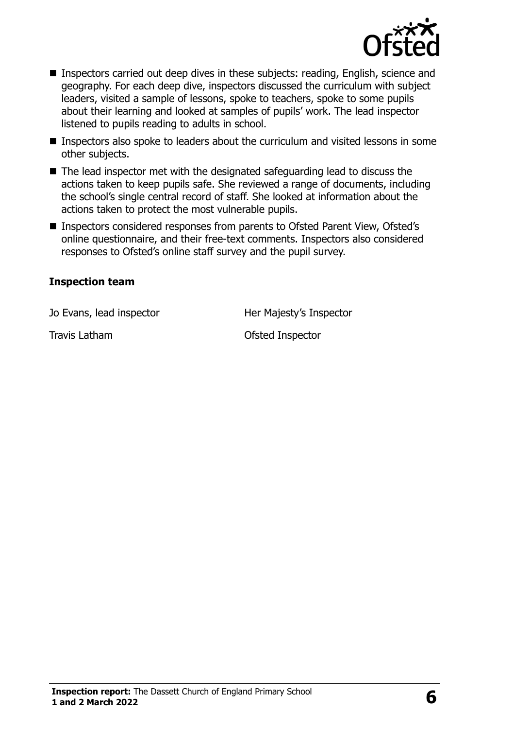

- Inspectors carried out deep dives in these subjects: reading, English, science and geography. For each deep dive, inspectors discussed the curriculum with subject leaders, visited a sample of lessons, spoke to teachers, spoke to some pupils about their learning and looked at samples of pupils' work. The lead inspector listened to pupils reading to adults in school.
- **Inspectors also spoke to leaders about the curriculum and visited lessons in some** other subjects.
- The lead inspector met with the designated safeguarding lead to discuss the actions taken to keep pupils safe. She reviewed a range of documents, including the school's single central record of staff. She looked at information about the actions taken to protect the most vulnerable pupils.
- Inspectors considered responses from parents to Ofsted Parent View, Ofsted's online questionnaire, and their free-text comments. Inspectors also considered responses to Ofsted's online staff survey and the pupil survey.

#### **Inspection team**

Jo Evans, lead inspector **Her Majesty's Inspector** 

Travis Latham **Travis Latham** Ofsted Inspector